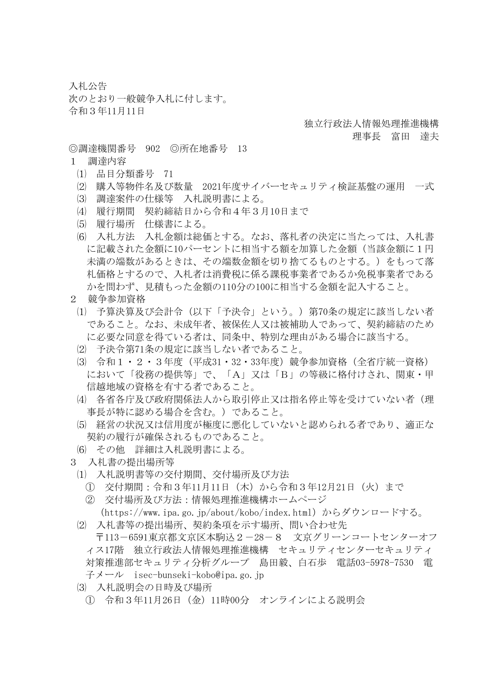入札公告

次のとおり一般競争入札に付します。 令和3年11月11日

## 独立行政法人情報処理推進機構

理事長 富田 達夫

◎調達機関番号 902 ◎所在地番号 13

- 1 調達内容
	- ⑴ 品目分類番号 71
	- ⑵ 購入等物件名及び数量 2021年度サイバーセキュリティ検証基盤の運用 一式
	- ⑶ 調達案件の仕様等 入札説明書による。
	- ⑷ 履行期間 契約締結日から令和4年3月10日まで
	- ⑸ 履行場所 仕様書による。
	- ⑹ 入札方法 入札金額は総価とする。なお、落札者の決定に当たっては、入札書 に記載された金額に10パーセントに相当する額を加算した金額(当該金額に1円 未満の端数があるときは、その端数金額を切り捨てるものとする。)をもって落 札価格とするので、入札者は消費税に係る課税事業者であるか免税事業者である かを問わず、見積もった金額の110分の100に相当する金額を記入すること。
- 2 競争参加資格
	- ⑴ 予算決算及び会計令(以下「予決令」という。)第70条の規定に該当しない者 であること。なお、未成年者、被保佐人又は被補助人であって、契約締結のため に必要な同意を得ている者は、同条中、特別な理由がある場合に該当する。
	- ⑵ 予決令第71条の規定に該当しない者であること。
	- ⑶ 令和1・2・3年度(平成31・32・33年度)競争参加資格(全省庁統一資格) において「役務の提供等」で、「A」又は「B」の等級に格付けされ、関東・甲 信越地域の資格を有する者であること。
	- ⑷ 各省各庁及び政府関係法人から取引停止又は指名停止等を受けていない者(理 事長が特に認める場合を含む。)であること。
	- ⑸ 経営の状況又は信用度が極度に悪化していないと認められる者であり、適正な 契約の履行が確保されるものであること。
	- ⑹ その他 詳細は入札説明書による。
- 3 入札書の提出場所等
	- ⑴ 入札説明書等の交付期間、交付場所及び方法
		- ① 交付期間:令和3年11月11日(木)から令和3年12月21日(火)まで
		- ② 交付場所及び方法:情報処理推進機構ホームページ (https://www.ipa.go.jp/about/kobo/index.html)からダウンロードする。
	- ⑵ 入札書等の提出場所、契約条項を示す場所、問い合わせ先 〒113-6591東京都文京区本駒込2-28-8 文京グリーンコートセンターオフ ィス17階 独立行政法人情報処理推進機構 セキュリティセンターセキュリティ 対策推進部セキュリティ分析グループ 島田毅、白石歩 電話03-5978-7530 電 子メール isec-bunseki-kobo@ipa.go.jp
	- ⑶ 入札説明会の日時及び場所
		- ① 令和3年11月26日(金)11時00分 オンラインによる説明会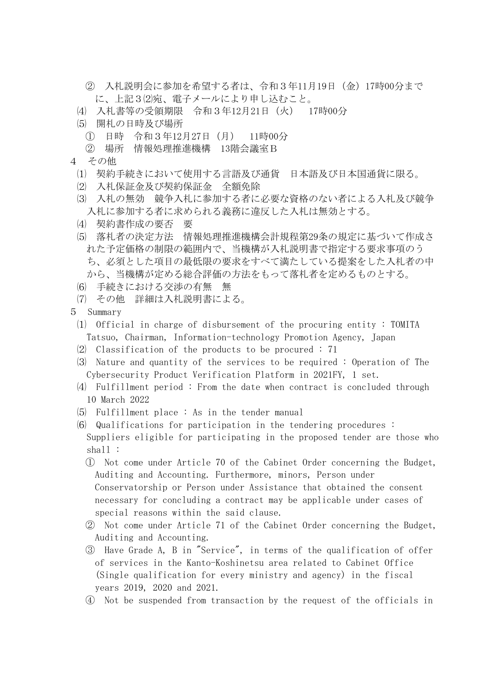- ② 入札説明会に参加を希望する者は、令和3年11月19日(金)17時00分まで に、上記3⑵宛、電子メールにより申し込むこと。
- ⑷ 入札書等の受領期限 令和3年12月21日(火) 17時00分
- ⑸ 開札の日時及び場所
	- ① 日時 令和3年12月27日(月) 11時00分
	- ② 場所 情報処理推進機構 13階会議室B
- 4 その他
	- ⑴ 契約手続きにおいて使用する言語及び通貨 日本語及び日本国通貨に限る。
	- ⑵ 入札保証金及び契約保証金 全額免除
	- ⑶ 入札の無効 競争入札に参加する者に必要な資格のない者による入札及び競争 入札に参加する者に求められる義務に違反した入札は無効とする。
	- ⑷ 契約書作成の要否 要
	- ⑸ 落札者の決定方法 情報処理推進機構会計規程第29条の規定に基づいて作成さ れた予定価格の制限の範囲内で、当機構が入札説明書で指定する要求事項のう ち、必須とした項目の最低限の要求をすべて満たしている提案をした入札者の中 から、当機構が定める総合評価の方法をもって落札者を定めるものとする。
	- ⑹ 手続きにおける交渉の有無 無
	- ⑺ その他 詳細は入札説明書による。
- 5 Summary
	- ⑴ Official in charge of disbursement of the procuring entity : TOMITA Tatsuo, Chairman, Information-technology Promotion Agency, Japan
	- ⑵ Classification of the products to be procured : 71
	- ⑶ Nature and quantity of the services to be required : Operation of The Cybersecurity Product Verification Platform in 2021FY, 1 set.
	- ⑷ Fulfillment period : From the date when contract is concluded through 10 March 2022
	- ⑸ Fulfillment place : As in the tender manual
	- ⑹ Qualifications for participation in the tendering procedures : Suppliers eligible for participating in the proposed tender are those who shall :
		- ① Not come under Article 70 of the Cabinet Order concerning the Budget, Auditing and Accounting. Furthermore, minors, Person under Conservatorship or Person under Assistance that obtained the consent necessary for concluding a contract may be applicable under cases of special reasons within the said clause.
		- ② Not come under Article 71 of the Cabinet Order concerning the Budget, Auditing and Accounting.
		- ③ Have Grade A, B in "Service", in terms of the qualification of offer of services in the Kanto-Koshinetsu area related to Cabinet Office (Single qualification for every ministry and agency) in the fiscal years 2019, 2020 and 2021.
		- ④ Not be suspended from transaction by the request of the officials in